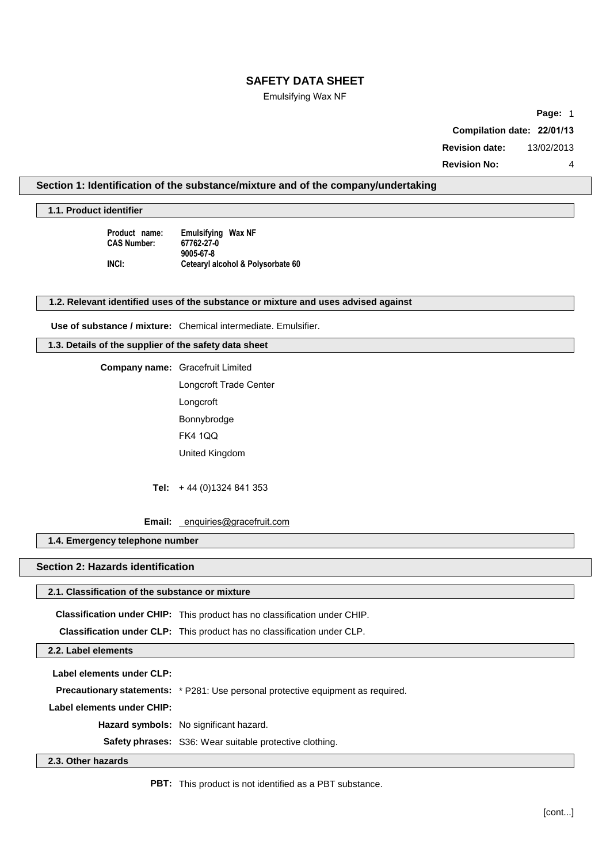### Emulsifying Wax NF

**Page:** 1 **Compilation date: 22/01/13 Revision date:** 13/02/2013 **Revision No:** 4

# **Section 1: Identification of the substance/mixture and of the company/undertaking**

**1.1. Product identifier**

**Product name: Emulsifying Wax NF CAS Number: 67762-27-0 9005-67-8 INCI: Cetearyl alcohol & Polysorbate 60**

#### **1.2. Relevant identified uses of the substance or mixture and uses advised against**

**Use of substance / mixture:** Chemical intermediate. Emulsifier.

**1.3. Details of the supplier of the safety data sheet**

**Company name:** Gracefruit Limited

Longcroft Trade Center Longcroft Bonnybrodge FK4 1QQ United Kingdom

**Tel:** + 44 (0)1324 841 353

**Email:** [enquiries@gracefruit.com](mailto:enquiries@surfachem.com)

### **1.4. Emergency telephone number**

# **Section 2: Hazards identification**

### **2.1. Classification of the substance or mixture**

**Classification under CHIP:** This product has no classification under CHIP.

**Classification under CLP:** This product has no classification under CLP.

**2.2. Label elements**

**Label elements under CLP:**

**Precautionary statements:** \* P281: Use personal protective equipment as required.

**Label elements under CHIP:**

**Hazard symbols:** No significant hazard.

**Safety phrases:** S36: Wear suitable protective clothing.

### **2.3. Other hazards**

**PBT:** This product is not identified as a PBT substance.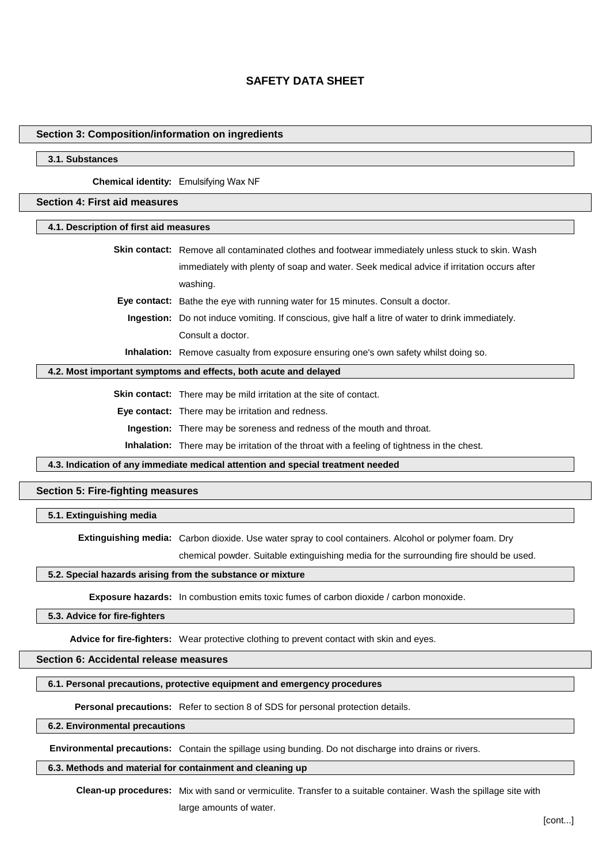### **Section 3: Composition/information on ingredients**

### **3.1. Substances**

**Chemical identity:** Emulsifying Wax NF

### **Section 4: First aid measures**

**4.1. Description of first aid measures**

| <b>Skin contact:</b> Remove all contaminated clothes and footwear immediately unless stuck to skin. Wash |
|----------------------------------------------------------------------------------------------------------|
| immediately with plenty of soap and water. Seek medical advice if irritation occurs after                |
| washing.                                                                                                 |
| Eye contact: Bathe the eye with running water for 15 minutes. Consult a doctor.                          |
| <b>Ingestion:</b> Do not induce vomiting. If conscious, give half a litre of water to drink immediately. |

Consult a doctor.

**Inhalation:** Remove casualty from exposure ensuring one's own safety whilst doing so.

#### **4.2. Most important symptoms and effects, both acute and delayed**

**Skin contact:** There may be mild irritation at the site of contact.

**Eye contact:** There may be irritation and redness.

**Ingestion:** There may be soreness and redness of the mouth and throat.

**Inhalation:** There may be irritation of the throat with a feeling of tightness in the chest.

**4.3. Indication of any immediate medical attention and special treatment needed**

### **Section 5: Fire-fighting measures**

**5.1. Extinguishing media**

**Extinguishing media:** Carbon dioxide. Use water spray to cool containers. Alcohol or polymer foam. Dry

chemical powder. Suitable extinguishing media for the surrounding fire should be used.

#### **5.2. Special hazards arising from the substance or mixture**

**Exposure hazards:** In combustion emits toxic fumes of carbon dioxide / carbon monoxide.

#### **5.3. Advice for fire-fighters**

**Advice for fire-fighters:** Wear protective clothing to prevent contact with skin and eyes.

### **Section 6: Accidental release measures**

#### **6.1. Personal precautions, protective equipment and emergency procedures**

**Personal precautions:** Refer to section 8 of SDS for personal protection details.

### **6.2. Environmental precautions**

**Environmental precautions:** Contain the spillage using bunding. Do not discharge into drains or rivers.

#### **6.3. Methods and material for containment and cleaning up**

**Clean-up procedures:** Mix with sand or vermiculite. Transfer to a suitable container. Wash the spillage site with large amounts of water.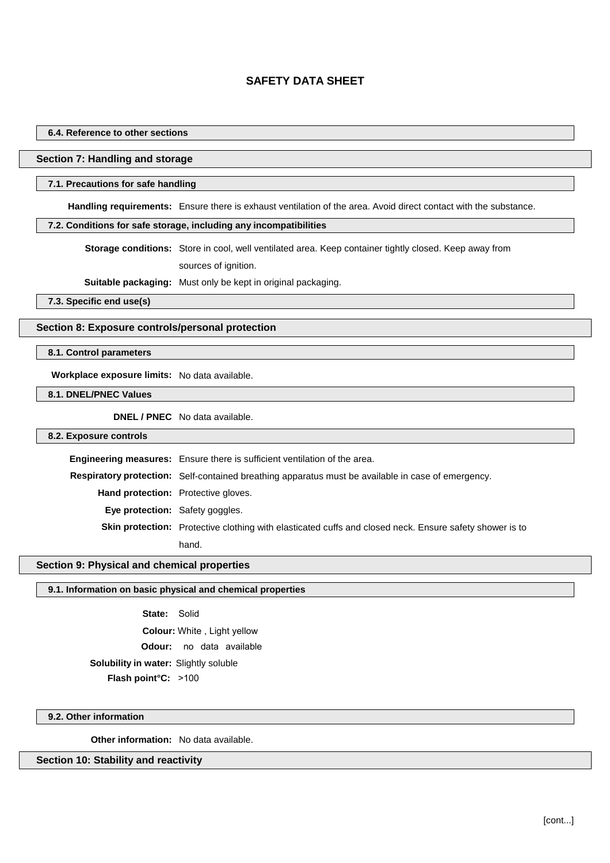### **6.4. Reference to other sections**

### **Section 7: Handling and storage**

#### **7.1. Precautions for safe handling**

**Handling requirements:** Ensure there is exhaust ventilation of the area. Avoid direct contact with the substance.

### **7.2. Conditions for safe storage, including any incompatibilities**

**Storage conditions:** Store in cool, well ventilated area. Keep container tightly closed. Keep away from sources of ignition.

**Suitable packaging:** Must only be kept in original packaging.

**7.3. Specific end use(s)**

### **Section 8: Exposure controls/personal protection**

### **8.1. Control parameters**

**Workplace exposure limits:** No data available.

**8.1. DNEL/PNEC Values**

**DNEL / PNEC** No data available.

### **8.2. Exposure controls**

**Engineering measures:** Ensure there is sufficient ventilation of the area. **Respiratory protection:** Self-contained breathing apparatus must be available in case of emergency. **Hand protection:** Protective gloves. **Eye protection:** Safety goggles. **Skin protection:** Protective clothing with elasticated cuffs and closed neck. Ensure safety shower is to hand.

### **Section 9: Physical and chemical properties**

### **9.1. Information on basic physical and chemical properties**

**State:** Solid **Colour:** White , Light yellow **Odour:** no data available **Flash point°C:** >100 **Solubility in water:** Slightly soluble

### **9.2. Other information**

**Other information:** No data available.

### **Section 10: Stability and reactivity**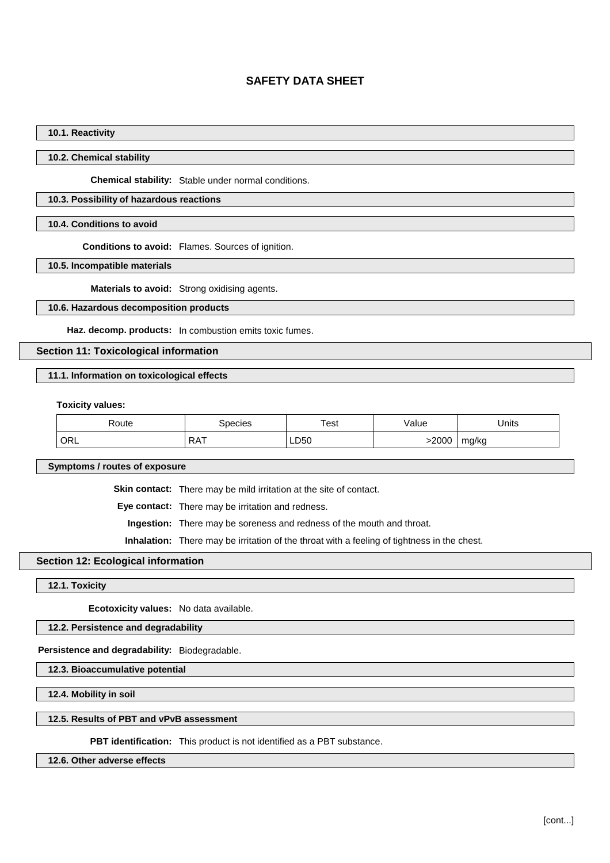### **10.1. Reactivity**

### **10.2. Chemical stability**

**Chemical stability:** Stable under normal conditions.

### **10.3. Possibility of hazardous reactions**

### **10.4. Conditions to avoid**

**Conditions to avoid:** Flames. Sources of ignition.

**10.5. Incompatible materials**

**Materials to avoid:** Strong oxidising agents.

### **10.6. Hazardous decomposition products**

**Haz. decomp. products:** In combustion emits toxic fumes.

#### **Section 11: Toxicological information**

### **11.1. Information on toxicological effects**

**Toxicity values:**

| ≺oute | pecies     | ™est | 'alue   | Jnits        |
|-------|------------|------|---------|--------------|
| ORL   | <b>RAT</b> | LD50 | $-200C$ | ma/ka<br>. . |

**Symptoms / routes of exposure**

**Skin contact:** There may be mild irritation at the site of contact.

**Eye contact:** There may be irritation and redness.

**Ingestion:** There may be soreness and redness of the mouth and throat.

**Inhalation:** There may be irritation of the throat with a feeling of tightness in the chest.

### **Section 12: Ecological information**

**12.1. Toxicity**

**Ecotoxicity values:** No data available.

**12.2. Persistence and degradability**

**Persistence and degradability:** Biodegradable.

**12.3. Bioaccumulative potential**

**12.4. Mobility in soil**

### **12.5. Results of PBT and vPvB assessment**

**PBT identification:** This product is not identified as a PBT substance.

**12.6. Other adverse effects**